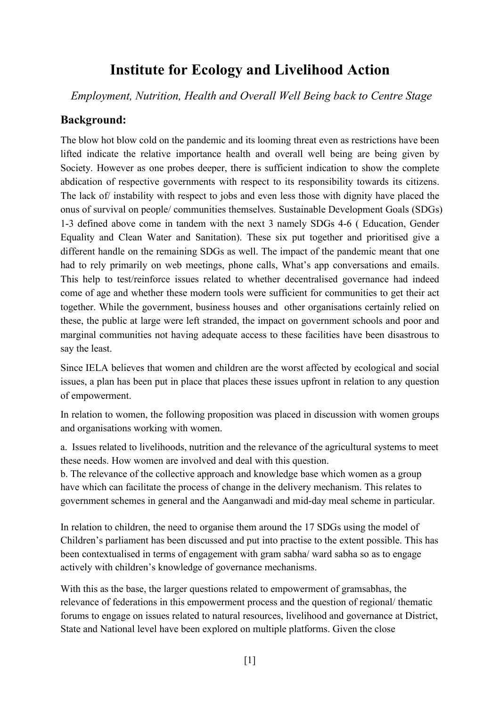## **Institute for Ecology and Livelihood Action**

*Employment, Nutrition, Health and Overall Well Being back to Centre Stage*

#### **Background:**

The blow hot blow cold on the pandemic and its looming threat even as restrictions have been lifted indicate the relative importance health and overall well being are being given by Society. However as one probes deeper, there is sufficient indication to show the complete abdication of respective governments with respect to its responsibility towards its citizens. The lack of/ instability with respect to jobs and even less those with dignity have placed the onus of survival on people/ communities themselves. Sustainable Development Goals (SDGs) 1-3 defined above come in tandem with the next 3 namely SDGs 4-6 ( Education, Gender Equality and Clean Water and Sanitation). These six put together and prioritised give a different handle on the remaining SDGs as well. The impact of the pandemic meant that one had to rely primarily on web meetings, phone calls, What's app conversations and emails. This help to test/reinforce issues related to whether decentralised governance had indeed come of age and whether these modern tools were sufficient for communities to get their act together. While the government, business houses and other organisations certainly relied on these, the public at large were left stranded, the impact on government schools and poor and marginal communities not having adequate access to these facilities have been disastrous to say the least.

Since IELA believes that women and children are the worst affected by ecological and social issues, a plan has been put in place that places these issues upfront in relation to any question of empowerment.

In relation to women, the following proposition was placed in discussion with women groups and organisations working with women.

a. Issues related to livelihoods, nutrition and the relevance of the agricultural systems to meet these needs. How women are involved and deal with this question.

b. The relevance of the collective approach and knowledge base which women as a group have which can facilitate the process of change in the delivery mechanism. This relates to government schemes in general and the Aanganwadi and mid-day meal scheme in particular.

In relation to children, the need to organise them around the 17 SDGs using the model of Children's parliament has been discussed and put into practise to the extent possible. This has been contextualised in terms of engagement with gram sabha/ ward sabha so as to engage actively with children's knowledge of governance mechanisms.

With this as the base, the larger questions related to empowerment of gramsabhas, the relevance of federations in this empowerment process and the question of regional/ thematic forums to engage on issues related to natural resources, livelihood and governance at District, State and National level have been explored on multiple platforms. Given the close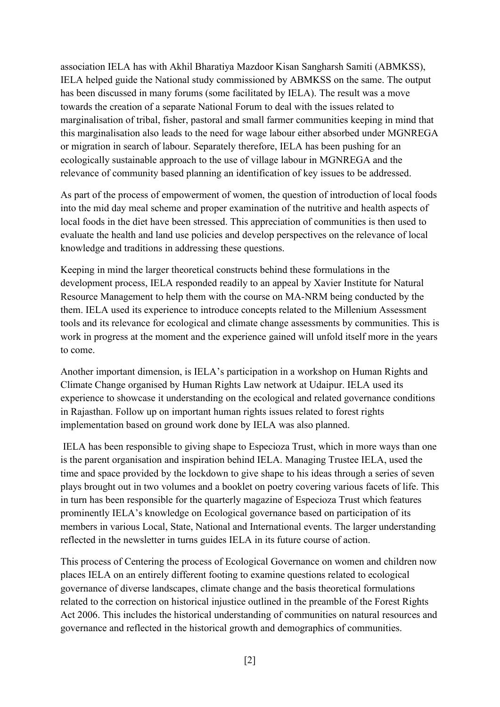association IELA has with Akhil Bharatiya Mazdoor Kisan Sangharsh Samiti (ABMKSS), IELA helped guide the National study commissioned by ABMKSS on the same. The output has been discussed in many forums (some facilitated by IELA). The result was a move towards the creation of a separate National Forum to deal with the issues related to marginalisation of tribal, fisher, pastoral and small farmer communities keeping in mind that this marginalisation also leads to the need for wage labour either absorbed under MGNREGA or migration in search of labour. Separately therefore, IELA has been pushing for an ecologically sustainable approach to the use of village labour in MGNREGA and the relevance of community based planning an identification of key issues to be addressed.

As part of the process of empowerment of women, the question of introduction of local foods into the mid day meal scheme and proper examination of the nutritive and health aspects of local foods in the diet have been stressed. This appreciation of communities is then used to evaluate the health and land use policies and develop perspectives on the relevance of local knowledge and traditions in addressing these questions.

Keeping in mind the larger theoretical constructs behind these formulations in the development process, IELA responded readily to an appeal by Xavier Institute for Natural Resource Management to help them with the course on MA-NRM being conducted by the them. IELA used its experience to introduce concepts related to the Millenium Assessment tools and its relevance for ecological and climate change assessments by communities. This is work in progress at the moment and the experience gained will unfold itself more in the years to come.

Another important dimension, is IELA's participation in a workshop on Human Rights and Climate Change organised by Human Rights Law network at Udaipur.IELA used its experience to showcase it understanding on the ecological and related governance conditions in Rajasthan. Follow up on important human rights issues related to forest rights implementation based on ground work done by IELA was also planned.

IELA has been responsible to giving shape to Especioza Trust, which in more ways than one is the parent organisation and inspiration behind IELA. Managing Trustee IELA, used the time and space provided by the lockdown to give shape to his ideas through a series of seven plays brought out in two volumes and a booklet on poetry covering various facets of life. This in turn has been responsible for the quarterly magazine of Especioza Trust which features prominently IELA's knowledge on Ecological governance based on participation of its members in various Local, State, National and International events. The larger understanding reflected in the newsletter in turns guides IELA in its future course of action.

This process of Centering the process of Ecological Governance on women and children now places IELA on an entirely different footing to examine questions related to ecological governance of diverse landscapes, climate change and the basis theoretical formulations related to the correction on historical injustice outlined in the preamble of the Forest Rights Act 2006. This includes the historical understanding of communities on natural resources and governance and reflected in the historical growth and demographics of communities.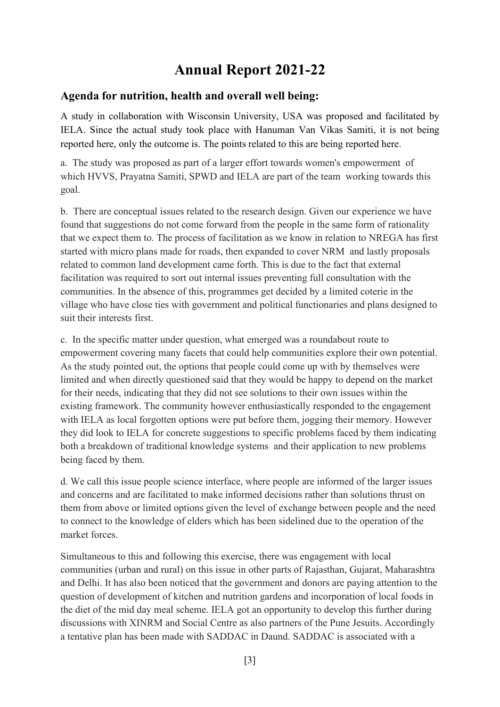# **Annual Report 2021-22**

#### **Agenda for nutrition, health and overall well being:**

A study in collaboration with Wisconsin University, USA was proposed and facilitated by IELA. Since the actual study took place with Hanuman Van Vikas Samiti, it is not being reported here, only the outcome is. The points related to this are being reported here.

a. The study was proposed as part of a larger effort towards women's empowerment of which HVVS, Prayatna Samiti, SPWD and IELA are part of the team working towards this goal.

b. There are conceptual issues related to the research design. Given our experience we have found that suggestions do not come forward from the people in the same form of rationality that we expect them to. The process of facilitation as we know in relation to NREGA has first started with micro plans made for roads, then expanded to cover NRM and lastly proposals related to common land development came forth. This is due to the fact that external facilitation was required to sort out internal issues preventing full consultation with the communities. In the absence of this, programmes get decided by a limited coterie in the village who have close ties with government and political functionaries and plans designed to suit their interests first.

c. In the specific matter under question, what emerged was a roundabout route to empowerment covering many facets that could help communities explore their own potential. As the study pointed out, the options that people could come up with by themselves were limited and when directly questioned said that they would be happy to depend on the market for their needs, indicating that they did not see solutions to their own issues within the existing framework. The community however enthusiastically responded to the engagement with IELA as local forgotten options were put before them, jogging their memory. However they did look to IELA for concrete suggestions to specific problems faced by them indicating both a breakdown of traditional knowledge systems and their application to new problems being faced by them.

d. We call this issue people science interface, where people are informed of the larger issues and concerns and are facilitated to make informed decisions rather than solutions thrust on them from above or limited options given the level of exchange between people and the need to connect to the knowledge of elders which has been sidelined due to the operation of the market forces.

Simultaneous to this and following this exercise, there was engagement with local communities (urban and rural) on this issue in other parts of Rajasthan, Gujarat, Maharashtra and Delhi. It has also been noticed that the government and donors are paying attention to the question of development of kitchen and nutrition gardens and incorporation of local foods in the diet of the mid day meal scheme. IELA got an opportunity to develop this further during discussions with XINRM and Social Centre as also partners of the Pune Jesuits. Accordingly a tentative plan has been made with SADDAC in Daund. SADDAC is associated with a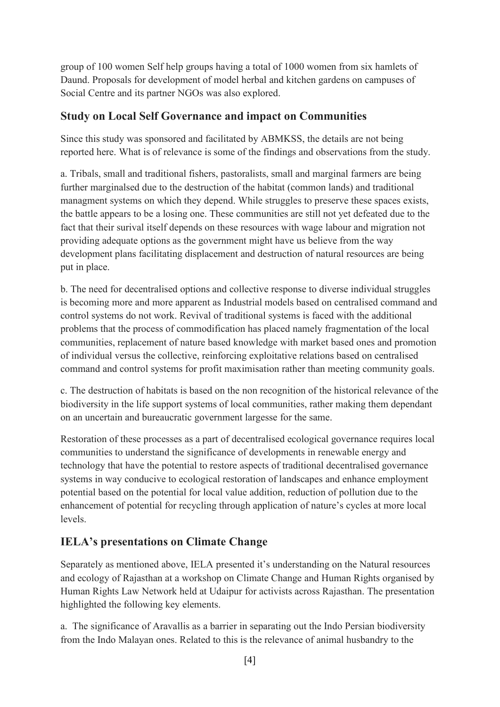group of 100 women Self help groups having a total of 1000 women from six hamlets of Daund. Proposals for development of model herbal and kitchen gardens on campuses of Social Centre and its partner NGOs was also explored.

#### **Study on Local Self Governance and impact on Communities**

Since this study was sponsored and facilitated by ABMKSS, the details are not being reported here. What is of relevance is some of the findings and observations from the study.

a. Tribals, small and traditional fishers, pastoralists, small and marginal farmers are being further marginalsed due to the destruction of the habitat (common lands) and traditional managment systems on which they depend. While struggles to preserve these spaces exists, the battle appears to be a losing one. These communities are still not yet defeated due to the fact that their surival itself depends on these resources with wage labour and migration not providing adequate options as the government might have us believe from the way development plans facilitating displacement and destruction of natural resources are being put in place.

b. The need for decentralised options and collective response to diverse individual struggles is becoming more and more apparent as Industrial models based on centralised command and control systems do not work. Revival of traditional systems is faced with the additional problems that the process of commodification has placed namely fragmentation of the local communities, replacement of nature based knowledge with market based ones and promotion of individual versus the collective, reinforcing exploitative relations based on centralised command and control systems for profit maximisation rather than meeting community goals.

c. The destruction of habitats is based on the non recognition of the historical relevance of the biodiversity in the life support systems of local communities, rather making them dependant on an uncertain and bureaucratic government largesse for the same.

Restoration of these processes as a part of decentralised ecological governance requires local communities to understand the significance of developments in renewable energy and technology that have the potential to restore aspects of traditional decentralised governance systems in way conducive to ecological restoration of landscapes and enhance employment potential based on the potential for local value addition, reduction of pollution due to the enhancement of potential for recycling through application of nature's cycles at more local levels.

### **IELA's presentations on Climate Change**

Separately as mentioned above, IELA presented it's understanding on the Natural resources and ecology of Rajasthan at a workshop on Climate Change and Human Rights organised by Human Rights Law Network held at Udaipur for activists across Rajasthan. The presentation highlighted the following key elements.

a. The significance of Aravallis as a barrier in separating out the Indo Persian biodiversity from the Indo Malayan ones. Related to this is the relevance of animal husbandry to the